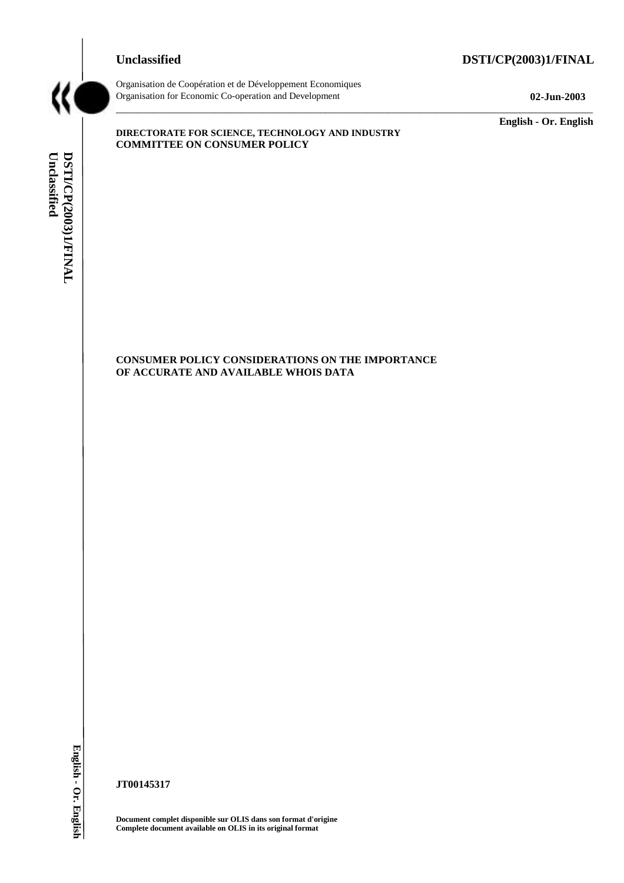# **Unclassified DSTI/CP(2003)1/FINAL**



Organisation de Coopération et de Développement Economiques Organisation for Economic Co-operation and Development **02-Jun-2003** 

**English - Or. English** 

Unclassified DSTI/CP(2003)1/FINAL **Unclassified DSTI/CP(2003)1/FINAL English - Or. English** 

# **DIRECTORATE FOR SCIENCE, TECHNOLOGY AND INDUSTRY COMMITTEE ON CONSUMER POLICY**

 $\overline{a}$  , and the state of the state of the state of the state of the state of the state of the state of the state of the state of the state of the state of the state of the state of the state of the state of the state o

**CONSUMER POLICY CONSIDERATIONS ON THE IMPORTANCE OF ACCURATE AND AVAILABLE WHOIS DATA** 

English - Or. English

**JT00145317** 

**Document complet disponible sur OLIS dans son format d'origine Complete document available on OLIS in its original format**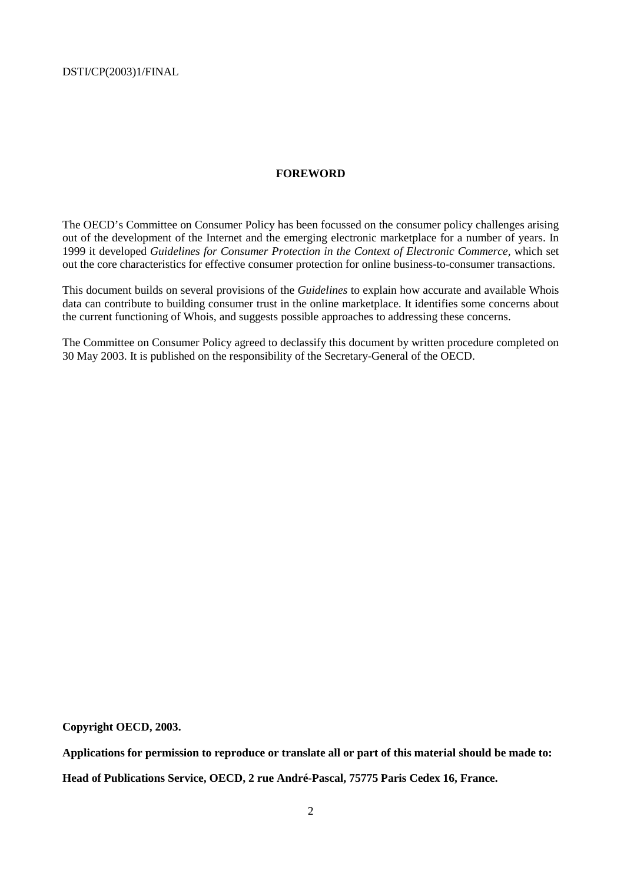#### **FOREWORD**

The OECD's Committee on Consumer Policy has been focussed on the consumer policy challenges arising out of the development of the Internet and the emerging electronic marketplace for a number of years. In 1999 it developed *Guidelines for Consumer Protection in the Context of Electronic Commerce,* which set out the core characteristics for effective consumer protection for online business-to-consumer transactions.

This document builds on several provisions of the *Guidelines* to explain how accurate and available Whois data can contribute to building consumer trust in the online marketplace. It identifies some concerns about the current functioning of Whois, and suggests possible approaches to addressing these concerns.

The Committee on Consumer Policy agreed to declassify this document by written procedure completed on 30 May 2003. It is published on the responsibility of the Secretary-General of the OECD.

**Copyright OECD, 2003.** 

**Applications for permission to reproduce or translate all or part of this material should be made to: Head of Publications Service, OECD, 2 rue André-Pascal, 75775 Paris Cedex 16, France.**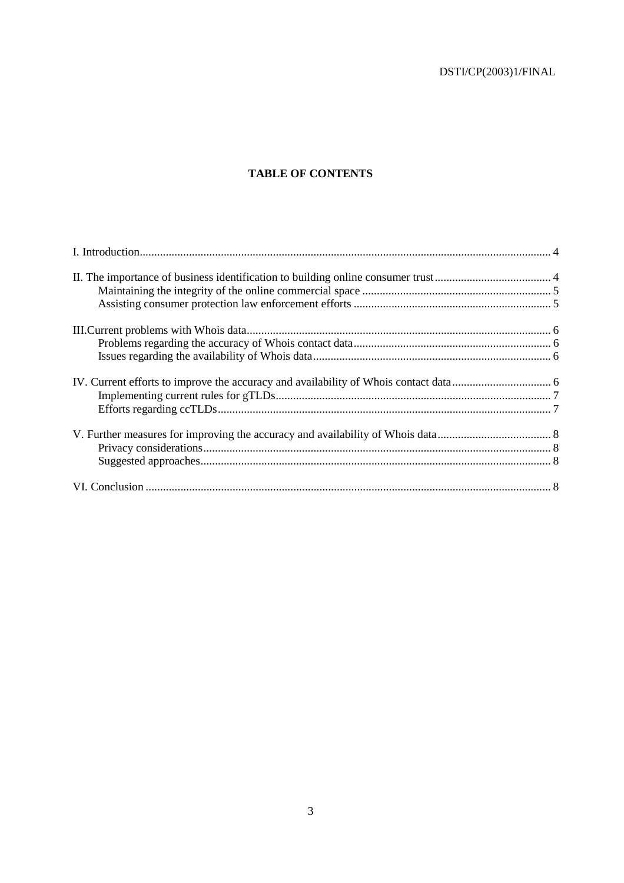# **TABLE OF CONTENTS**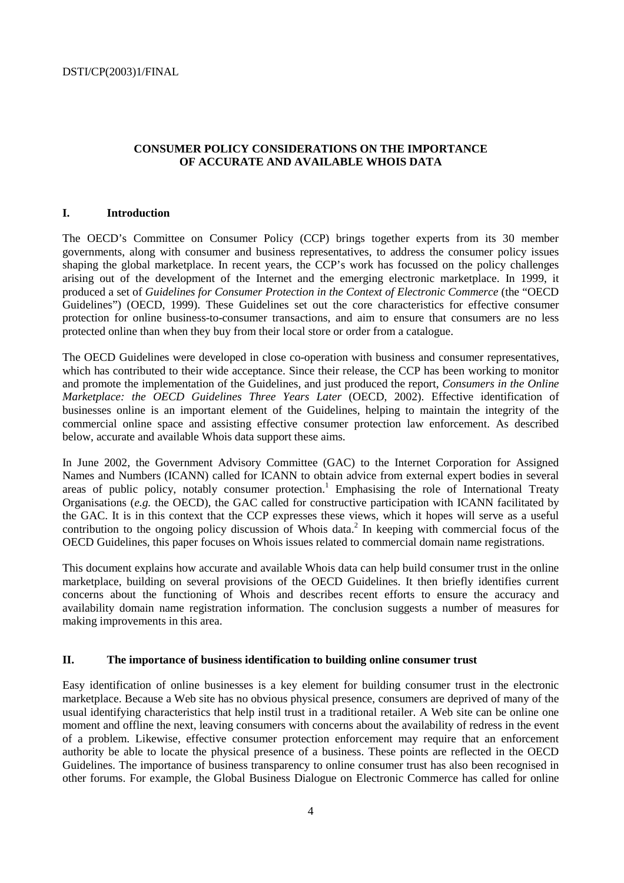# **CONSUMER POLICY CONSIDERATIONS ON THE IMPORTANCE OF ACCURATE AND AVAILABLE WHOIS DATA**

# **I. Introduction**

The OECD's Committee on Consumer Policy (CCP) brings together experts from its 30 member governments, along with consumer and business representatives, to address the consumer policy issues shaping the global marketplace. In recent years, the CCP's work has focussed on the policy challenges arising out of the development of the Internet and the emerging electronic marketplace. In 1999, it produced a set of *Guidelines for Consumer Protection in the Context of Electronic Commerce* (the "OECD Guidelines") (OECD, 1999). These Guidelines set out the core characteristics for effective consumer protection for online business-to-consumer transactions, and aim to ensure that consumers are no less protected online than when they buy from their local store or order from a catalogue.

The OECD Guidelines were developed in close co-operation with business and consumer representatives, which has contributed to their wide acceptance. Since their release, the CCP has been working to monitor and promote the implementation of the Guidelines, and just produced the report, *Consumers in the Online Marketplace: the OECD Guidelines Three Years Later* (OECD, 2002). Effective identification of businesses online is an important element of the Guidelines, helping to maintain the integrity of the commercial online space and assisting effective consumer protection law enforcement. As described below, accurate and available Whois data support these aims.

In June 2002, the Government Advisory Committee (GAC) to the Internet Corporation for Assigned Names and Numbers (ICANN) called for ICANN to obtain advice from external expert bodies in several areas of public policy, notably consumer protection.<sup>1</sup> Emphasising the role of International Treaty Organisations (*e.g.* the OECD), the GAC called for constructive participation with ICANN facilitated by the GAC. It is in this context that the CCP expresses these views, which it hopes will serve as a useful contribution to the ongoing policy discussion of Whois data.<sup>2</sup> In keeping with commercial focus of the OECD Guidelines, this paper focuses on Whois issues related to commercial domain name registrations.

This document explains how accurate and available Whois data can help build consumer trust in the online marketplace, building on several provisions of the OECD Guidelines. It then briefly identifies current concerns about the functioning of Whois and describes recent efforts to ensure the accuracy and availability domain name registration information. The conclusion suggests a number of measures for making improvements in this area.

#### **II. The importance of business identification to building online consumer trust**

Easy identification of online businesses is a key element for building consumer trust in the electronic marketplace. Because a Web site has no obvious physical presence, consumers are deprived of many of the usual identifying characteristics that help instil trust in a traditional retailer. A Web site can be online one moment and offline the next, leaving consumers with concerns about the availability of redress in the event of a problem. Likewise, effective consumer protection enforcement may require that an enforcement authority be able to locate the physical presence of a business. These points are reflected in the OECD Guidelines. The importance of business transparency to online consumer trust has also been recognised in other forums. For example, the Global Business Dialogue on Electronic Commerce has called for online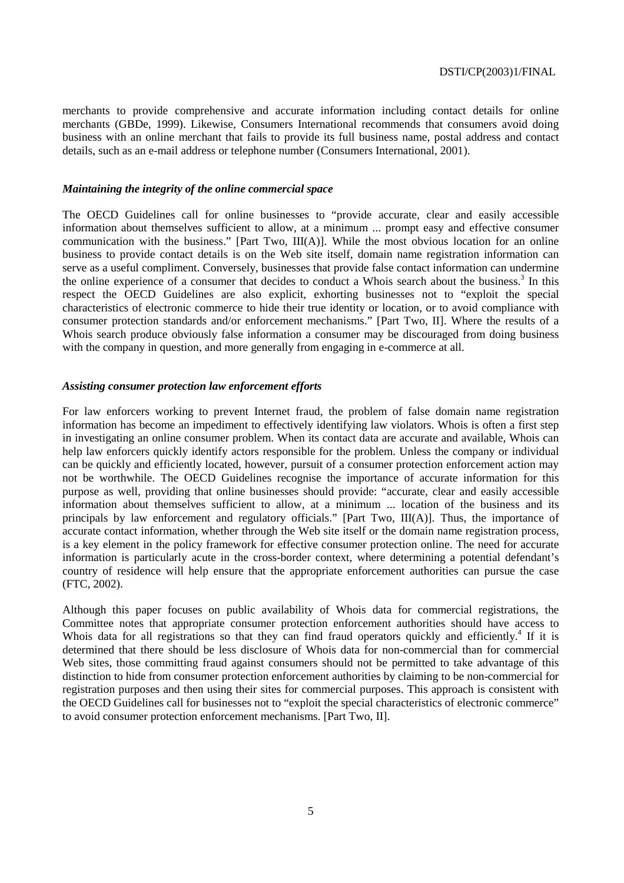merchants to provide comprehensive and accurate information including contact details for online merchants (GBDe, 1999). Likewise, Consumers International recommends that consumers avoid doing business with an online merchant that fails to provide its full business name, postal address and contact details, such as an e-mail address or telephone number (Consumers International, 2001).

#### *Maintaining the integrity of the online commercial space*

The OECD Guidelines call for online businesses to "provide accurate, clear and easily accessible information about themselves sufficient to allow, at a minimum ... prompt easy and effective consumer communication with the business." [Part Two, III(A)]. While the most obvious location for an online business to provide contact details is on the Web site itself, domain name registration information can serve as a useful compliment. Conversely, businesses that provide false contact information can undermine the online experience of a consumer that decides to conduct a Whois search about the business.<sup>3</sup> In this respect the OECD Guidelines are also explicit, exhorting businesses not to "exploit the special characteristics of electronic commerce to hide their true identity or location, or to avoid compliance with consumer protection standards and/or enforcement mechanisms." [Part Two, II]. Where the results of a Whois search produce obviously false information a consumer may be discouraged from doing business with the company in question, and more generally from engaging in e-commerce at all.

#### *Assisting consumer protection law enforcement efforts*

For law enforcers working to prevent Internet fraud, the problem of false domain name registration information has become an impediment to effectively identifying law violators. Whois is often a first step in investigating an online consumer problem. When its contact data are accurate and available, Whois can help law enforcers quickly identify actors responsible for the problem. Unless the company or individual can be quickly and efficiently located, however, pursuit of a consumer protection enforcement action may not be worthwhile. The OECD Guidelines recognise the importance of accurate information for this purpose as well, providing that online businesses should provide: "accurate, clear and easily accessible information about themselves sufficient to allow, at a minimum ... location of the business and its principals by law enforcement and regulatory officials." [Part Two, III(A)]. Thus, the importance of accurate contact information, whether through the Web site itself or the domain name registration process, is a key element in the policy framework for effective consumer protection online. The need for accurate information is particularly acute in the cross-border context, where determining a potential defendant's country of residence will help ensure that the appropriate enforcement authorities can pursue the case (FTC, 2002).

Although this paper focuses on public availability of Whois data for commercial registrations, the Committee notes that appropriate consumer protection enforcement authorities should have access to Whois data for all registrations so that they can find fraud operators quickly and efficiently.<sup>4</sup> If it is determined that there should be less disclosure of Whois data for non-commercial than for commercial Web sites, those committing fraud against consumers should not be permitted to take advantage of this distinction to hide from consumer protection enforcement authorities by claiming to be non-commercial for registration purposes and then using their sites for commercial purposes. This approach is consistent with the OECD Guidelines call for businesses not to "exploit the special characteristics of electronic commerce" to avoid consumer protection enforcement mechanisms. [Part Two, II].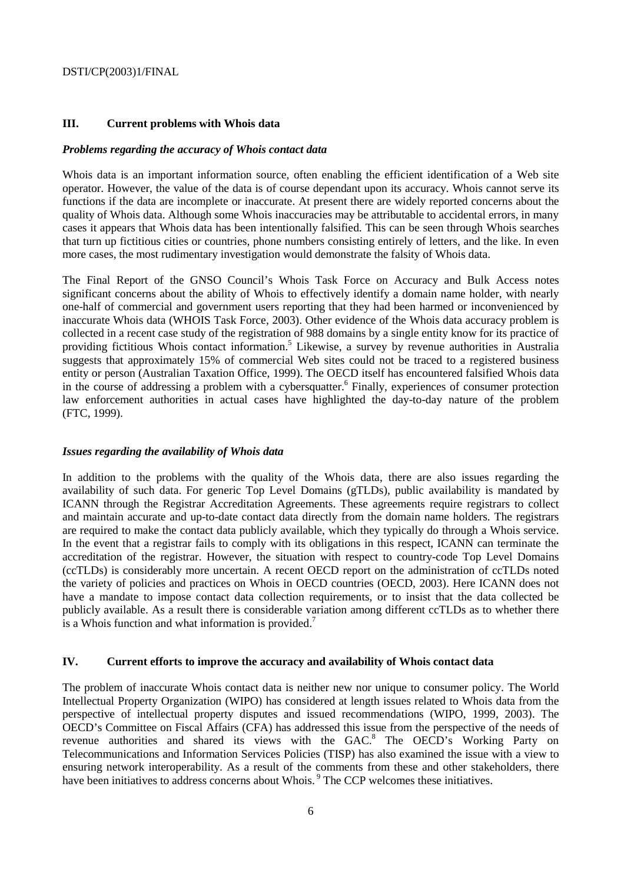# **III. Current problems with Whois data**

#### *Problems regarding the accuracy of Whois contact data*

Whois data is an important information source, often enabling the efficient identification of a Web site operator. However, the value of the data is of course dependant upon its accuracy. Whois cannot serve its functions if the data are incomplete or inaccurate. At present there are widely reported concerns about the quality of Whois data. Although some Whois inaccuracies may be attributable to accidental errors, in many cases it appears that Whois data has been intentionally falsified. This can be seen through Whois searches that turn up fictitious cities or countries, phone numbers consisting entirely of letters, and the like. In even more cases, the most rudimentary investigation would demonstrate the falsity of Whois data.

The Final Report of the GNSO Council's Whois Task Force on Accuracy and Bulk Access notes significant concerns about the ability of Whois to effectively identify a domain name holder, with nearly one-half of commercial and government users reporting that they had been harmed or inconvenienced by inaccurate Whois data (WHOIS Task Force, 2003). Other evidence of the Whois data accuracy problem is collected in a recent case study of the registration of 988 domains by a single entity know for its practice of providing fictitious Whois contact information.<sup>5</sup> Likewise, a survey by revenue authorities in Australia suggests that approximately 15% of commercial Web sites could not be traced to a registered business entity or person (Australian Taxation Office, 1999). The OECD itself has encountered falsified Whois data in the course of addressing a problem with a cybersquatter.<sup>6</sup> Finally, experiences of consumer protection law enforcement authorities in actual cases have highlighted the day-to-day nature of the problem (FTC, 1999).

# *Issues regarding the availability of Whois data*

In addition to the problems with the quality of the Whois data, there are also issues regarding the availability of such data. For generic Top Level Domains (gTLDs), public availability is mandated by ICANN through the Registrar Accreditation Agreements. These agreements require registrars to collect and maintain accurate and up-to-date contact data directly from the domain name holders. The registrars are required to make the contact data publicly available, which they typically do through a Whois service. In the event that a registrar fails to comply with its obligations in this respect, ICANN can terminate the accreditation of the registrar. However, the situation with respect to country-code Top Level Domains (ccTLDs) is considerably more uncertain. A recent OECD report on the administration of ccTLDs noted the variety of policies and practices on Whois in OECD countries (OECD, 2003). Here ICANN does not have a mandate to impose contact data collection requirements, or to insist that the data collected be publicly available. As a result there is considerable variation among different ccTLDs as to whether there is a Whois function and what information is provided.<sup>7</sup>

#### **IV. Current efforts to improve the accuracy and availability of Whois contact data**

The problem of inaccurate Whois contact data is neither new nor unique to consumer policy. The World Intellectual Property Organization (WIPO) has considered at length issues related to Whois data from the perspective of intellectual property disputes and issued recommendations (WIPO, 1999, 2003). The OECD's Committee on Fiscal Affairs (CFA) has addressed this issue from the perspective of the needs of revenue authorities and shared its views with the GAC.<sup>8</sup> The OECD's Working Party on Telecommunications and Information Services Policies (TISP) has also examined the issue with a view to ensuring network interoperability. As a result of the comments from these and other stakeholders, there have been initiatives to address concerns about Whois.<sup>9</sup> The CCP welcomes these initiatives.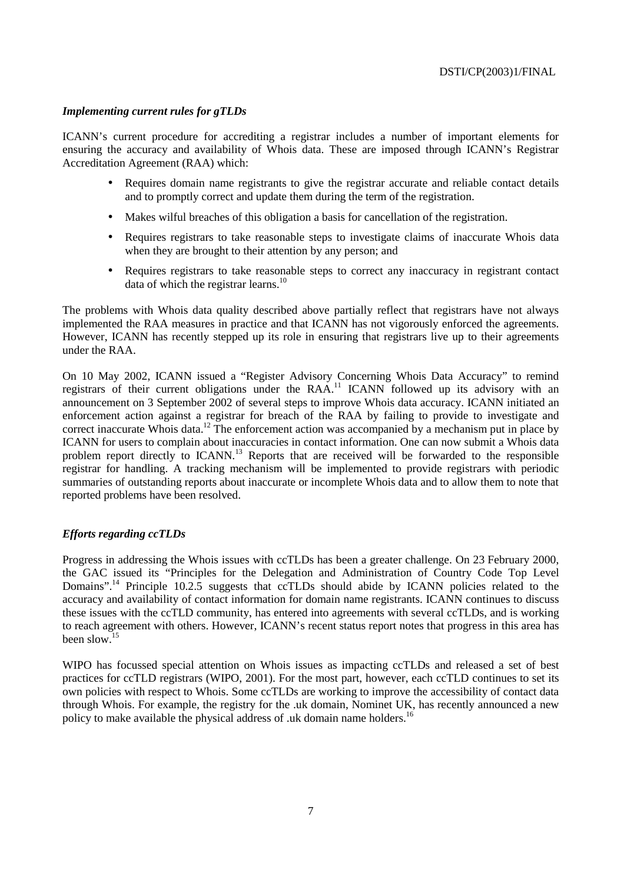# *Implementing current rules for gTLDs*

ICANN's current procedure for accrediting a registrar includes a number of important elements for ensuring the accuracy and availability of Whois data. These are imposed through ICANN's Registrar Accreditation Agreement (RAA) which:

- Requires domain name registrants to give the registrar accurate and reliable contact details and to promptly correct and update them during the term of the registration.
- Makes wilful breaches of this obligation a basis for cancellation of the registration.
- Requires registrars to take reasonable steps to investigate claims of inaccurate Whois data when they are brought to their attention by any person; and
- Requires registrars to take reasonable steps to correct any inaccuracy in registrant contact data of which the registrar learns.<sup>10</sup>

The problems with Whois data quality described above partially reflect that registrars have not always implemented the RAA measures in practice and that ICANN has not vigorously enforced the agreements. However, ICANN has recently stepped up its role in ensuring that registrars live up to their agreements under the RAA.

On 10 May 2002, ICANN issued a "Register Advisory Concerning Whois Data Accuracy" to remind registrars of their current obligations under the RAA.<sup>11</sup> ICANN followed up its advisory with an announcement on 3 September 2002 of several steps to improve Whois data accuracy. ICANN initiated an enforcement action against a registrar for breach of the RAA by failing to provide to investigate and correct inaccurate Whois data.<sup>12</sup> The enforcement action was accompanied by a mechanism put in place by ICANN for users to complain about inaccuracies in contact information. One can now submit a Whois data problem report directly to ICANN.<sup>13</sup> Reports that are received will be forwarded to the responsible registrar for handling. A tracking mechanism will be implemented to provide registrars with periodic summaries of outstanding reports about inaccurate or incomplete Whois data and to allow them to note that reported problems have been resolved.

# *Efforts regarding ccTLDs*

Progress in addressing the Whois issues with ccTLDs has been a greater challenge. On 23 February 2000, the GAC issued its "Principles for the Delegation and Administration of Country Code Top Level Domains".<sup>14</sup> Principle 10.2.5 suggests that ccTLDs should abide by ICANN policies related to the accuracy and availability of contact information for domain name registrants. ICANN continues to discuss these issues with the ccTLD community, has entered into agreements with several ccTLDs, and is working to reach agreement with others. However, ICANN's recent status report notes that progress in this area has been slow.<sup>15</sup>

WIPO has focussed special attention on Whois issues as impacting ccTLDs and released a set of best practices for ccTLD registrars (WIPO, 2001). For the most part, however, each ccTLD continues to set its own policies with respect to Whois. Some ccTLDs are working to improve the accessibility of contact data through Whois. For example, the registry for the .uk domain, Nominet UK, has recently announced a new policy to make available the physical address of .uk domain name holders.<sup>16</sup>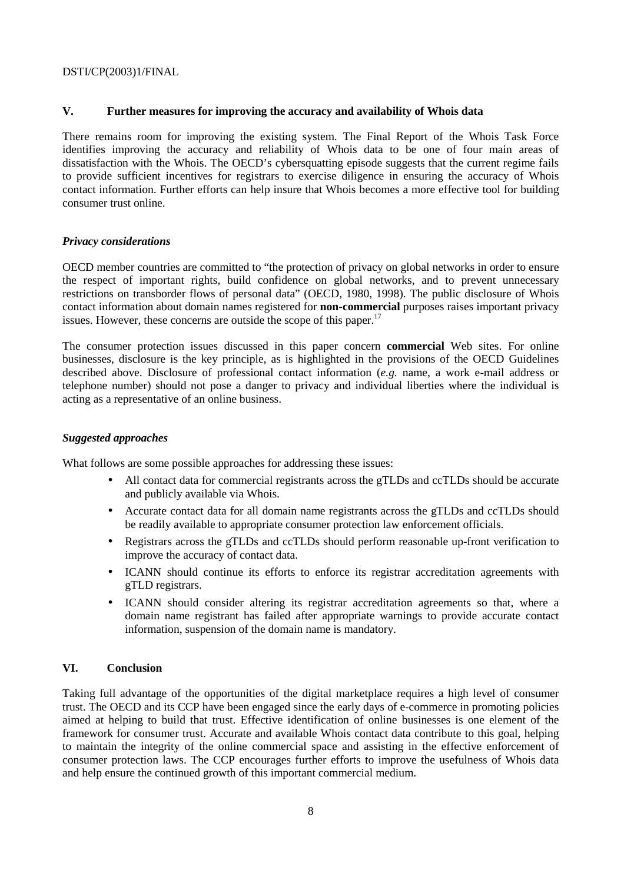# **V. Further measures for improving the accuracy and availability of Whois data**

There remains room for improving the existing system. The Final Report of the Whois Task Force identifies improving the accuracy and reliability of Whois data to be one of four main areas of dissatisfaction with the Whois. The OECD's cybersquatting episode suggests that the current regime fails to provide sufficient incentives for registrars to exercise diligence in ensuring the accuracy of Whois contact information. Further efforts can help insure that Whois becomes a more effective tool for building consumer trust online.

### *Privacy considerations*

OECD member countries are committed to "the protection of privacy on global networks in order to ensure the respect of important rights, build confidence on global networks, and to prevent unnecessary restrictions on transborder flows of personal data" (OECD, 1980, 1998). The public disclosure of Whois contact information about domain names registered for **non-commercial** purposes raises important privacy issues. However, these concerns are outside the scope of this paper.<sup>17</sup>

The consumer protection issues discussed in this paper concern **commercial** Web sites. For online businesses, disclosure is the key principle, as is highlighted in the provisions of the OECD Guidelines described above. Disclosure of professional contact information (*e.g.* name, a work e-mail address or telephone number) should not pose a danger to privacy and individual liberties where the individual is acting as a representative of an online business.

# *Suggested approaches*

What follows are some possible approaches for addressing these issues:

- All contact data for commercial registrants across the gTLDs and ccTLDs should be accurate and publicly available via Whois.
- Accurate contact data for all domain name registrants across the gTLDs and ccTLDs should be readily available to appropriate consumer protection law enforcement officials.
- Registrars across the gTLDs and ccTLDs should perform reasonable up-front verification to improve the accuracy of contact data.
- ICANN should continue its efforts to enforce its registrar accreditation agreements with gTLD registrars.
- ICANN should consider altering its registrar accreditation agreements so that, where a domain name registrant has failed after appropriate warnings to provide accurate contact information, suspension of the domain name is mandatory.

# **VI. Conclusion**

Taking full advantage of the opportunities of the digital marketplace requires a high level of consumer trust. The OECD and its CCP have been engaged since the early days of e-commerce in promoting policies aimed at helping to build that trust. Effective identification of online businesses is one element of the framework for consumer trust. Accurate and available Whois contact data contribute to this goal, helping to maintain the integrity of the online commercial space and assisting in the effective enforcement of consumer protection laws. The CCP encourages further efforts to improve the usefulness of Whois data and help ensure the continued growth of this important commercial medium.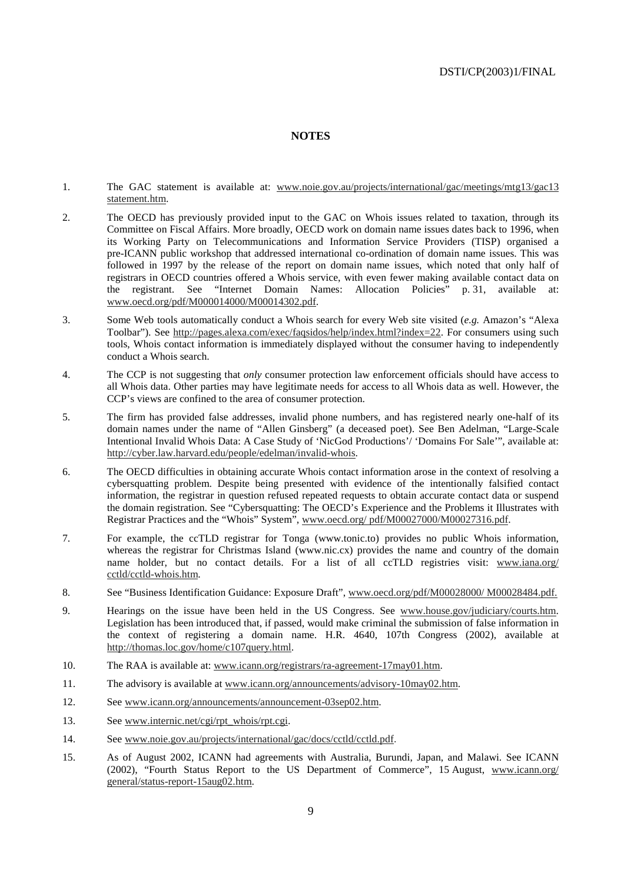# **NOTES**

- 1. The GAC statement is available at: www.noie.gov.au/projects/international/gac/meetings/mtg13/gac13 statement.htm.
- 2. The OECD has previously provided input to the GAC on Whois issues related to taxation, through its Committee on Fiscal Affairs. More broadly, OECD work on domain name issues dates back to 1996, when its Working Party on Telecommunications and Information Service Providers (TISP) organised a pre-ICANN public workshop that addressed international co-ordination of domain name issues. This was followed in 1997 by the release of the report on domain name issues, which noted that only half of registrars in OECD countries offered a Whois service, with even fewer making available contact data on the registrant. See "Internet Domain Names: Allocation Policies" p. 31, available at: www.oecd.org/pdf/M000014000/M00014302.pdf.
- 3. Some Web tools automatically conduct a Whois search for every Web site visited (*e.g.* Amazon's "Alexa Toolbar"). See http://pages.alexa.com/exec/faqsidos/help/index.html?index=22. For consumers using such tools, Whois contact information is immediately displayed without the consumer having to independently conduct a Whois search.
- 4. The CCP is not suggesting that *only* consumer protection law enforcement officials should have access to all Whois data. Other parties may have legitimate needs for access to all Whois data as well. However, the CCP's views are confined to the area of consumer protection.
- 5. The firm has provided false addresses, invalid phone numbers, and has registered nearly one-half of its domain names under the name of "Allen Ginsberg" (a deceased poet). See Ben Adelman, "Large-Scale Intentional Invalid Whois Data: A Case Study of 'NicGod Productions'/ 'Domains For Sale'", available at: http://cyber.law.harvard.edu/people/edelman/invalid-whois.
- 6. The OECD difficulties in obtaining accurate Whois contact information arose in the context of resolving a cybersquatting problem. Despite being presented with evidence of the intentionally falsified contact information, the registrar in question refused repeated requests to obtain accurate contact data or suspend the domain registration. See "Cybersquatting: The OECD's Experience and the Problems it Illustrates with Registrar Practices and the "Whois" System", www.oecd.org/ pdf/M00027000/M00027316.pdf.
- 7. For example, the ccTLD registrar for Tonga (www.tonic.to) provides no public Whois information, whereas the registrar for Christmas Island (www.nic.cx) provides the name and country of the domain name holder, but no contact details. For a list of all ccTLD registries visit: www.iana.org/ cctld/cctld-whois.htm.
- 8. See "Business Identification Guidance: Exposure Draft", www.oecd.org/pdf/M00028000/ M00028484.pdf.
- 9. Hearings on the issue have been held in the US Congress. See www.house.gov/judiciary/courts.htm. Legislation has been introduced that, if passed, would make criminal the submission of false information in the context of registering a domain name. H.R. 4640, 107th Congress (2002), available at http://thomas.loc.gov/home/c107query.html.
- 10. The RAA is available at: www.icann.org/registrars/ra-agreement-17may01.htm.
- 11. The advisory is available at www.icann.org/announcements/advisory-10may02.htm.
- 12. See www.icann.org/announcements/announcement-03sep02.htm.
- 13. See www.internic.net/cgi/rpt\_whois/rpt.cgi.
- 14. See www.noie.gov.au/projects/international/gac/docs/cctld/cctld.pdf.
- 15. As of August 2002, ICANN had agreements with Australia, Burundi, Japan, and Malawi. See ICANN (2002), "Fourth Status Report to the US Department of Commerce", 15 August, www.icann.org/ general/status-report-15aug02.htm.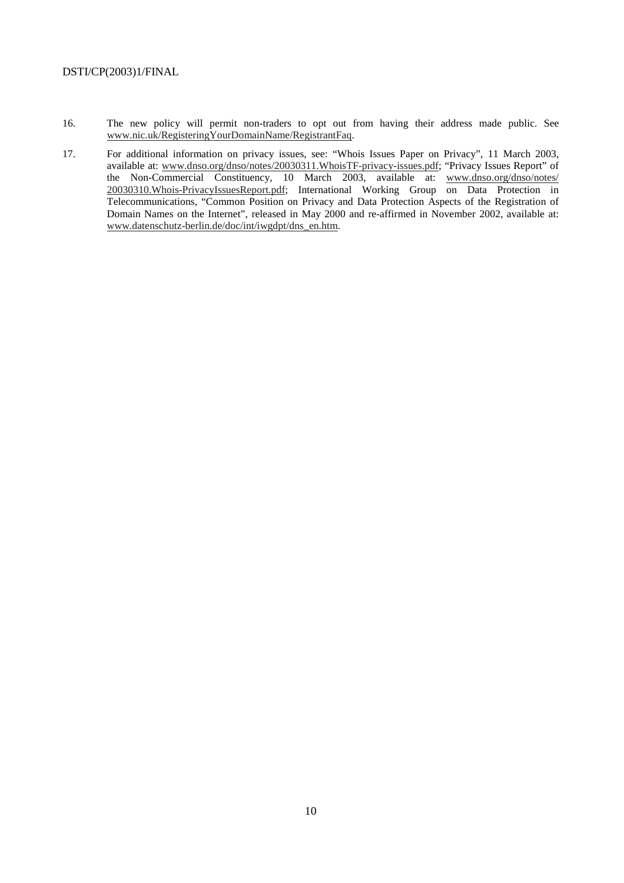- 16. The new policy will permit non-traders to opt out from having their address made public. See www.nic.uk/RegisteringYourDomainName/RegistrantFaq.
- 17. For additional information on privacy issues, see: "Whois Issues Paper on Privacy", 11 March 2003, available at: www.dnso.org/dnso/notes/20030311.WhoisTF-privacy-issues.pdf; "Privacy Issues Report" of the Non-Commercial Constituency, 10 March 2003, available at: www.dnso.org/dnso/notes/ 20030310.Whois-PrivacyIssuesReport.pdf; International Working Group on Data Protection in Telecommunications, "Common Position on Privacy and Data Protection Aspects of the Registration of Domain Names on the Internet", released in May 2000 and re-affirmed in November 2002, available at: www.datenschutz-berlin.de/doc/int/iwgdpt/dns\_en.htm.